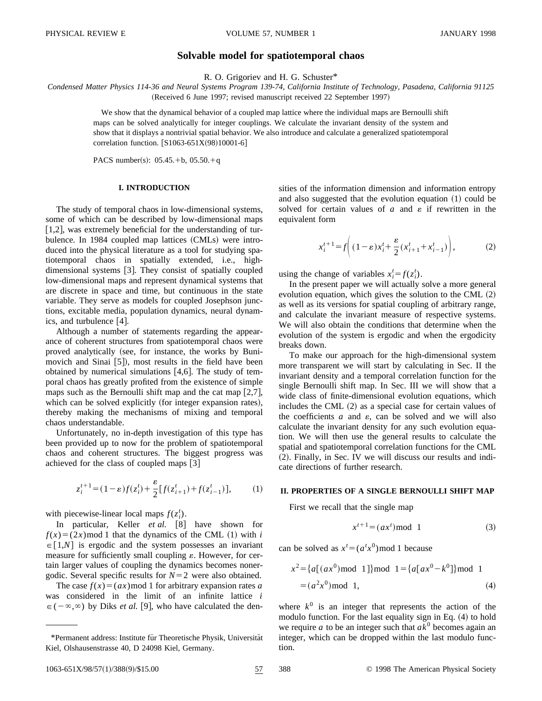# **Solvable model for spatiotemporal chaos**

R. O. Grigoriev and H. G. Schuster\*

*Condensed Matter Physics 114-36 and Neural Systems Program 139-74, California Institute of Technology, Pasadena, California 91125* (Received 6 June 1997; revised manuscript received 22 September 1997)

> We show that the dynamical behavior of a coupled map lattice where the individual maps are Bernoulli shift maps can be solved analytically for integer couplings. We calculate the invariant density of the system and show that it displays a nontrivial spatial behavior. We also introduce and calculate a generalized spatiotemporal correlation function.  $[S1063-651X(98)10001-6]$

PACS number(s):  $05.45.+b$ ,  $05.50.+q$ 

# **I. INTRODUCTION**

The study of temporal chaos in low-dimensional systems, some of which can be described by low-dimensional maps  $[1,2]$ , was extremely beneficial for the understanding of turbulence. In 1984 coupled map lattices (CMLs) were introduced into the physical literature as a tool for studying spatiotemporal chaos in spatially extended, i.e., highdimensional systems  $[3]$ . They consist of spatially coupled low-dimensional maps and represent dynamical systems that are discrete in space and time, but continuous in the state variable. They serve as models for coupled Josephson junctions, excitable media, population dynamics, neural dynamics, and turbulence  $[4]$ .

Although a number of statements regarding the appearance of coherent structures from spatiotemporal chaos were proved analytically (see, for instance, the works by Bunimovich and Sinai [5]), most results in the field have been obtained by numerical simulations  $[4,6]$ . The study of temporal chaos has greatly profited from the existence of simple maps such as the Bernoulli shift map and the cat map  $[2,7]$ , which can be solved explicitly (for integer expansion rates), thereby making the mechanisms of mixing and temporal chaos understandable.

Unfortunately, no in-depth investigation of this type has been provided up to now for the problem of spatiotemporal chaos and coherent structures. The biggest progress was achieved for the class of coupled maps  $\lceil 3 \rceil$ 

$$
z_i^{t+1} = (1 - \varepsilon)f(z_i^t) + \frac{\varepsilon}{2} [f(z_{i+1}^t) + f(z_{i-1}^t)],
$$
 (1)

with piecewise-linear local maps  $f(z_i^t)$ .

In particular, Keller *et al.* [8] have shown for  $f(x)=(2x)$  mod 1 that the dynamics of the CML (1) with *i*  $\in$ [1,*N*] is ergodic and the system possesses an invariant measure for sufficiently small coupling  $\varepsilon$ . However, for certain larger values of coupling the dynamics becomes nonergodic. Several specific results for  $N=2$  were also obtained.

The case  $f(x)=(ax) \mod 1$  for arbitrary expansion rates *a* was considered in the limit of an infinite lattice *i*  $\epsilon(-\infty,\infty)$  by Diks *et al.* [9], who have calculated the densities of the information dimension and information entropy and also suggested that the evolution equation  $(1)$  could be solved for certain values of  $a$  and  $\varepsilon$  if rewritten in the equivalent form

$$
x_i^{t+1} = f\left((1 - \varepsilon)x_i^t + \frac{\varepsilon}{2}(x_{i+1}^t + x_{i-1}^t)\right),\tag{2}
$$

using the change of variables  $x_i^t = f(z_i^t)$ .

In the present paper we will actually solve a more general evolution equation, which gives the solution to the CML  $(2)$ as well as its versions for spatial coupling of arbitrary range, and calculate the invariant measure of respective systems. We will also obtain the conditions that determine when the evolution of the system is ergodic and when the ergodicity breaks down.

To make our approach for the high-dimensional system more transparent we will start by calculating in Sec. II the invariant density and a temporal correlation function for the single Bernoulli shift map. In Sec. III we will show that a wide class of finite-dimensional evolution equations, which includes the CML  $(2)$  as a special case for certain values of the coefficients  $a$  and  $\varepsilon$ , can be solved and we will also calculate the invariant density for any such evolution equation. We will then use the general results to calculate the spatial and spatiotemporal correlation functions for the CML (2). Finally, in Sec. IV we will discuss our results and indicate directions of further research.

## **II. PROPERTIES OF A SINGLE BERNOULLI SHIFT MAP**

First we recall that the single map

$$
x^{t+1} = (ax^t) \bmod 1 \tag{3}
$$

can be solved as  $x^t = (a^t x^0) \text{ mod } 1$  because

$$
x^{2} = \{a[(ax^{0}) \mod 1]\} \mod 1 = \{a[a x^{0} - k^{0}]\} \mod 1
$$
  
=  $(a^{2}x^{0}) \mod 1$ , (4)

where  $k^0$  is an integer that represents the action of the modulo function. For the last equality sign in Eq.  $(4)$  to hold we require *a* to be an integer such that  $ak^0$  becomes again an integer, which can be dropped within the last modulo function.

<sup>\*</sup>Permanent address: Institute für Theoretische Physik, Universität Kiel, Olshausenstrasse 40, D 24098 Kiel, Germany.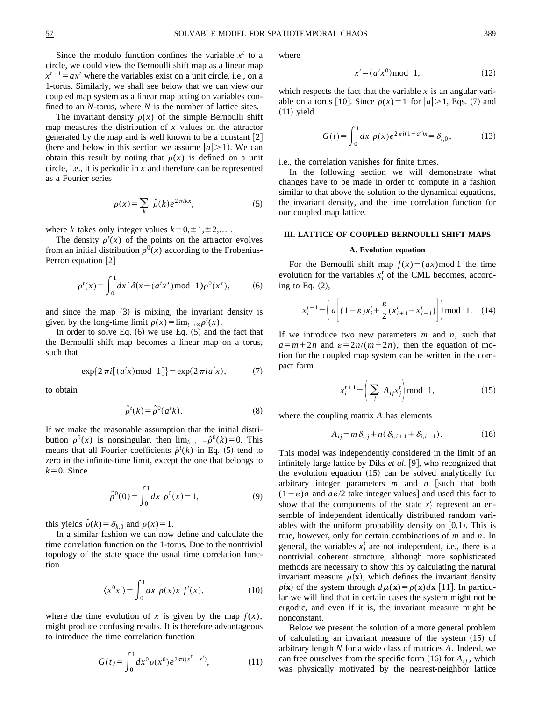Since the modulo function confines the variable  $x<sup>t</sup>$  to a circle, we could view the Bernoulli shift map as a linear map  $x^{t+1} = ax^t$  where the variables exist on a unit circle, i.e., on a 1-torus. Similarly, we shall see below that we can view our coupled map system as a linear map acting on variables confined to an *N*-torus, where *N* is the number of lattice sites.

The invariant density  $\rho(x)$  of the simple Bernoulli shift map measures the distribution of *x* values on the attractor generated by the map and is well known to be a constant  $[2]$ (here and below in this section we assume  $|a|>1$ ). We can obtain this result by noting that  $\rho(x)$  is defined on a unit circle, i.e., it is periodic in *x* and therefore can be represented as a Fourier series

$$
\rho(x) = \sum_{k} \hat{\rho}(k) e^{2\pi i k x},\tag{5}
$$

where *k* takes only integer values  $k=0,\pm 1,\pm 2,...$ .

The density  $\rho^t(x)$  of the points on the attractor evolves from an initial distribution  $\rho^{0}(x)$  according to the Frobenius-Perron equation  $\lfloor 2 \rfloor$ 

$$
\rho^{t}(x) = \int_{0}^{1} dx' \, \delta(x - (a^{t}x') \bmod 1) \rho^{0}(x'), \quad (6)
$$

and since the map  $(3)$  is mixing, the invariant density is given by the long-time limit  $\rho(x) = \lim_{t \to \infty} \rho^t(x)$ .

In order to solve Eq.  $(6)$  we use Eq.  $(5)$  and the fact that the Bernoulli shift map becomes a linear map on a torus, such that

$$
\exp\{2\pi i[(a^t x) \mod 1]\} = \exp(2\pi i a^t x),\tag{7}
$$

to obtain

$$
\hat{\rho}^t(k) = \hat{\rho}^0(a^t k). \tag{8}
$$

If we make the reasonable assumption that the initial distribution  $\rho^{0}(x)$  is nonsingular, then  $\lim_{k\to\infty} \hat{\rho}^{0}(k)=0$ . This means that all Fourier coefficients  $\hat{\rho}^t(k)$  in Eq. (5) tend to zero in the infinite-time limit, except the one that belongs to  $k=0$ . Since

$$
\hat{\rho}^0(0) = \int_0^1 dx \, \rho^0(x) = 1,\tag{9}
$$

this yields  $\hat{\rho}(k) = \delta_{k,0}$  and  $\rho(x) = 1$ .

In a similar fashion we can now define and calculate the time correlation function on the 1-torus. Due to the nontrivial topology of the state space the usual time correlation function

$$
\langle x^0 x^t \rangle = \int_0^1 dx \, \rho(x) x f^t(x), \tag{10}
$$

where the time evolution of *x* is given by the map  $f(x)$ , might produce confusing results. It is therefore advantageous to introduce the time correlation function

$$
G(t) = \int_0^1 dx^0 \rho(x^0) e^{2\pi i (x^0 - x^t)},
$$
\n(11)

where

$$
xt = (atx0) \bmod 1,
$$
 (12)

which respects the fact that the variable  $x$  is an angular variable on a torus [10]. Since  $\rho(x)=1$  for  $|a|>1$ , Eqs. (7) and  $(11)$  yield

$$
G(t) = \int_0^1 dx \ \rho(x) e^{2\pi i (1 - a^t)x} = \delta_{t,0}, \tag{13}
$$

i.e., the correlation vanishes for finite times.

In the following section we will demonstrate what changes have to be made in order to compute in a fashion similar to that above the solution to the dynamical equations, the invariant density, and the time correlation function for our coupled map lattice.

# **III. LATTICE OF COUPLED BERNOULLI SHIFT MAPS**

# **A. Evolution equation**

For the Bernoulli shift map  $f(x)=(ax) \mod 1$  the time evolution for the variables  $x_i^t$  of the CML becomes, according to Eq.  $(2)$ ,

$$
x_i^{t+1} = \left( a \left[ (1 - \varepsilon) x_i^t + \frac{\varepsilon}{2} (x_{i+1}^t + x_{i-1}^t) \right] \right) \mod 1. \quad (14)
$$

If we introduce two new parameters *m* and *n*, such that  $a=m+2n$  and  $\varepsilon=2n/(m+2n)$ , then the equation of motion for the coupled map system can be written in the compact form

$$
x_i^{t+1} = \left(\sum_j A_{ij} x_j^t\right) \text{mod } 1,\tag{15}
$$

where the coupling matrix *A* has elements

$$
A_{ij} = m \delta_{i,j} + n(\delta_{i,i+1} + \delta_{i,i-1}). \tag{16}
$$

This model was independently considered in the limit of an infinitely large lattice by Diks *et al.* [9], who recognized that the evolution equation  $(15)$  can be solved analytically for arbitrary integer parameters  $m$  and  $n$  such that both  $(1-\varepsilon)a$  and  $a\varepsilon/2$  take integer values] and used this fact to show that the components of the state  $x_i^t$  represent an ensemble of independent identically distributed random variables with the uniform probability density on  $[0,1)$ . This is true, however, only for certain combinations of *m* and *n*. In general, the variables  $x_i^t$  are not independent, i.e., there is a nontrivial coherent structure, although more sophisticated methods are necessary to show this by calculating the natural invariant measure  $\mu(\mathbf{x})$ , which defines the invariant density  $\rho(\mathbf{x})$  of the system through  $d\mu(\mathbf{x}) = \rho(\mathbf{x})d\mathbf{x}$  [11]. In particular we will find that in certain cases the system might not be ergodic, and even if it is, the invariant measure might be nonconstant.

Below we present the solution of a more general problem of calculating an invariant measure of the system  $(15)$  of arbitrary length *N* for a wide class of matrices *A*. Indeed, we can free ourselves from the specific form  $(16)$  for  $A_{ii}$ , which was physically motivated by the nearest-neighbor lattice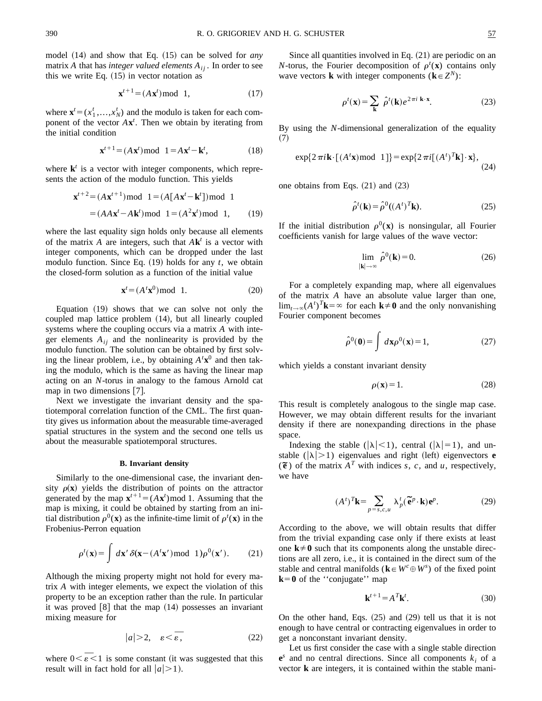$$
\mathbf{x}^{t+1} = (A\mathbf{x}^t) \bmod 1,\tag{17}
$$

where  $\mathbf{x}^t = (x_1^t, \dots, x_N^t)$  and the modulo is taken for each component of the vector  $A\mathbf{x}^t$ . Then we obtain by iterating from the initial condition

$$
\mathbf{x}^{t+1} = (A\mathbf{x}^t) \text{mod } 1 = A\mathbf{x}^t - \mathbf{k}^t,\tag{18}
$$

where  $\mathbf{k}^t$  is a vector with integer components, which represents the action of the modulo function. This yields

$$
\mathbf{x}^{t+2} = (A\mathbf{x}^{t+1}) \mod 1 = (A[A\mathbf{x}^t - \mathbf{k}^t]) \mod 1
$$
  
= (A\mathbf{x}^t - A\mathbf{k}^t) \mod 1 = (A^2\mathbf{x}^t) \mod 1, (19)

where the last equality sign holds only because all elements of the matrix A are integers, such that  $A\mathbf{k}^t$  is a vector with integer components, which can be dropped under the last modulo function. Since Eq.  $(19)$  holds for any *t*, we obtain the closed-form solution as a function of the initial value

$$
\mathbf{x}^t = (A^t \mathbf{x}^0) \bmod 1. \tag{20}
$$

Equation  $(19)$  shows that we can solve not only the coupled map lattice problem  $(14)$ , but all linearly coupled systems where the coupling occurs via a matrix *A* with integer elements  $A_{ij}$  and the nonlinearity is provided by the modulo function. The solution can be obtained by first solving the linear problem, i.e., by obtaining  $A<sup>t</sup>**x**<sup>0</sup>$  and then taking the modulo, which is the same as having the linear map acting on an *N*-torus in analogy to the famous Arnold cat map in two dimensions  $[7]$ .

Next we investigate the invariant density and the spatiotemporal correlation function of the CML. The first quantity gives us information about the measurable time-averaged spatial structures in the system and the second one tells us about the measurable spatiotemporal structures.

### **B. Invariant density**

Similarly to the one-dimensional case, the invariant density  $\rho(x)$  yields the distribution of points on the attractor generated by the map  $\mathbf{x}^{t+1} = (A\mathbf{x}^t) \text{ mod } 1$ . Assuming that the map is mixing, it could be obtained by starting from an initial distribution  $\rho^0(\mathbf{x})$  as the infinite-time limit of  $\rho^t(\mathbf{x})$  in the Frobenius-Perron equation

$$
\rho^{t}(\mathbf{x}) = \int d\mathbf{x}' \, \delta(\mathbf{x} - (A^{t}\mathbf{x}') \bmod 1) \rho^{0}(\mathbf{x}'). \tag{21}
$$

Although the mixing property might not hold for every matrix *A* with integer elements, we expect the violation of this property to be an exception rather than the rule. In particular it was proved  $[8]$  that the map  $(14)$  possesses an invariant mixing measure for

$$
|a| > 2, \quad \varepsilon < \overline{\varepsilon}, \tag{22}
$$

where  $0 < \overline{\epsilon} < 1$  is some constant (it was suggested that this result will in fact hold for all  $|a| > 1$ ).

Since all quantities involved in Eq.  $(21)$  are periodic on an *N*-torus, the Fourier decomposition of  $\rho^t(\mathbf{x})$  contains only wave vectors **k** with integer components ( $\mathbf{k} \in \mathbb{Z}^N$ ):

$$
\rho^{t}(\mathbf{x}) = \sum_{\mathbf{k}} \hat{\rho}^{t}(\mathbf{k}) e^{2\pi i \mathbf{k} \cdot \mathbf{x}}.
$$
 (23)

By using the *N*-dimensional generalization of the equality  $(7)$ 

$$
\exp\{2\,\pi i\mathbf{k}\cdot[(A^t\mathbf{x})\,\text{mod}\ 1]\} = \exp\{2\,\pi i[(A^t)^T\mathbf{k}]\cdot\mathbf{x}\},\tag{24}
$$

one obtains from Eqs.  $(21)$  and  $(23)$ 

$$
\hat{\rho}^t(\mathbf{k}) = \hat{\rho}^0((A^t)^T \mathbf{k}).\tag{25}
$$

If the initial distribution  $\rho^{0}(\mathbf{x})$  is nonsingular, all Fourier coefficients vanish for large values of the wave vector:

$$
\lim_{|\mathbf{k}| \to \infty} \hat{\rho}^0(\mathbf{k}) = 0. \tag{26}
$$

For a completely expanding map, where all eigenvalues of the matrix *A* have an absolute value larger than one, lim<sub>*t*→∞</sub>( $A^t$ )<sup>*T*</sup>**k**=∞ for each **k**≠**0** and the only nonvanishing Fourier component becomes

$$
\hat{\rho}^0(\mathbf{0}) = \int d\mathbf{x} \rho^0(\mathbf{x}) = 1,
$$
\n(27)

which yields a constant invariant density

$$
\rho(\mathbf{x}) = 1. \tag{28}
$$

This result is completely analogous to the single map case. However, we may obtain different results for the invariant density if there are nonexpanding directions in the phase space.

Indexing the stable ( $|\lambda|$ <1), central ( $|\lambda|=1$ ), and unstable  $(|\lambda|>1)$  eigenvalues and right (left) eigenvectors **e**  $(\widetilde{\mathbf{e}})$  of the matrix  $A^T$  with indices *s*, *c*, and *u*, respectively, we have

$$
(At)Tk = \sum_{p=s,c,u} \lambda_p^t (\widetilde{\bf e}^p \cdot {\bf k}) {\bf e}^p.
$$
 (29)

According to the above, we will obtain results that differ from the trivial expanding case only if there exists at least one  $k \neq 0$  such that its components along the unstable directions are all zero, i.e., it is contained in the direct sum of the stable and central manifolds ( $\mathbf{k} \in W^c \oplus W^s$ ) of the fixed point  $k=0$  of the "conjugate" map

$$
\mathbf{k}^{t+1} = A^T \mathbf{k}^t. \tag{30}
$$

On the other hand, Eqs.  $(25)$  and  $(29)$  tell us that it is not enough to have central or contracting eigenvalues in order to get a nonconstant invariant density.

Let us first consider the case with a single stable direction  $e^s$  and no central directions. Since all components  $k_i$  of a vector **k** are integers, it is contained within the stable mani-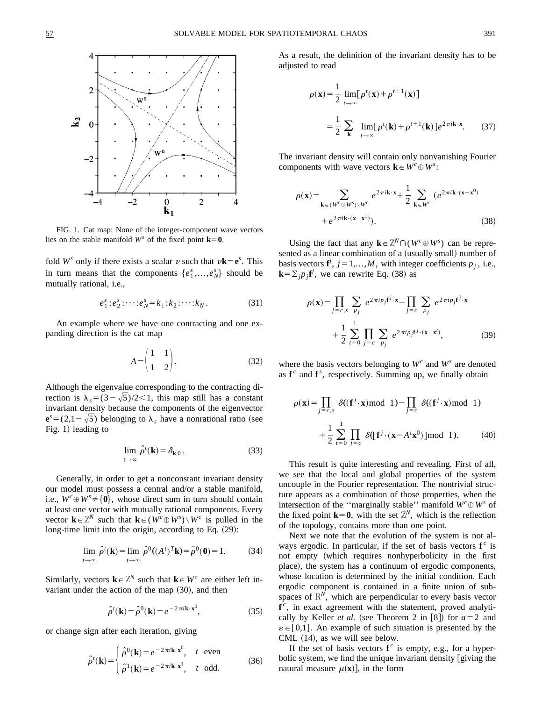

FIG. 1. Cat map: None of the integer-component wave vectors lies on the stable manifold  $W^s$  of the fixed point  $\mathbf{k} = \mathbf{0}$ .

fold  $W^s$  only if there exists a scalar  $\nu$  such that  $\nu$ **k** = **e**<sup>*s*</sup>. This in turn means that the components  $\{e_1^s, \ldots, e_N^s\}$  should be mutually rational, i.e.,

$$
e_1^s : e_2^s : \dots : e_N^s = k_1 : k_2 : \dots : k_N. \tag{31}
$$

An example where we have one contracting and one expanding direction is the cat map

$$
A = \begin{pmatrix} 1 & 1 \\ 1 & 2 \end{pmatrix}.
$$
 (32)

Although the eigenvalue corresponding to the contracting direction is  $\lambda_s = (3-\sqrt{5})/2 < 1$ , this map still has a constant invariant density because the components of the eigenvector  ${\bf e}^{s}$  = (2,1– $\sqrt{5}$ ) belonging to  $\lambda_s$  have a nonrational ratio (see Fig.  $1$ ) leading to

$$
\lim_{t \to \infty} \hat{\rho}^t(\mathbf{k}) = \delta_{\mathbf{k},0}.
$$
\n(33)

Generally, in order to get a nonconstant invariant density our model must possess a central and/or a stable manifold, i.e.,  $W^c \oplus W^s \neq \{0\}$ , whose direct sum in turn should contain at least one vector with mutually rational components. Every vector  $\mathbf{k} \in \mathbb{Z}^N$  such that  $\mathbf{k} \in (W^c \oplus W^s) \setminus W^c$  is pulled in the long-time limit into the origin, according to Eq.  $(29)$ :

$$
\lim_{t \to \infty} \hat{\rho}^t(\mathbf{k}) = \lim_{t \to \infty} \hat{\rho}^0((A^t)^T \mathbf{k}) = \hat{\rho}^0(\mathbf{0}) = 1.
$$
 (34)

Similarly, vectors  $\mathbf{k} \in \mathbb{Z}^N$  such that  $\mathbf{k} \in W^c$  are either left invariant under the action of the map  $(30)$ , and then

$$
\hat{\rho}^t(\mathbf{k}) = \hat{\rho}^0(\mathbf{k}) = e^{-2\pi i \mathbf{k} \cdot \mathbf{x}^0},\tag{35}
$$

or change sign after each iteration, giving

$$
\hat{\rho}^t(\mathbf{k}) = \begin{cases}\n\hat{\rho}^0(\mathbf{k}) = e^{-2\pi i \mathbf{k} \cdot \mathbf{x}^0}, & t \text{ even} \\
\hat{\rho}^1(\mathbf{k}) = e^{-2\pi i \mathbf{k} \cdot \mathbf{x}^1}, & t \text{ odd.} \n\end{cases}
$$
\n(36)

As a result, the definition of the invariant density has to be adjusted to read

$$
\rho(\mathbf{x}) = \frac{1}{2} \lim_{t \to \infty} [\rho^t(\mathbf{x}) + \rho^{t+1}(\mathbf{x})]
$$
  
= 
$$
\frac{1}{2} \sum_{\mathbf{k}} \lim_{t \to \infty} [\rho^t(\mathbf{k}) + \rho^{t+1}(\mathbf{k})] e^{2\pi i \mathbf{k} \cdot \mathbf{x}}.
$$
 (37)

The invariant density will contain only nonvanishing Fourier components with wave vectors  $\mathbf{k} \in W^c \oplus W^s$ :

$$
\rho(\mathbf{x}) = \sum_{\mathbf{k} \in (W^c \oplus W^s) \setminus W^c} e^{2\pi i \mathbf{k} \cdot \mathbf{x}} + \frac{1}{2} \sum_{\mathbf{k} \in W^c} (e^{2\pi i \mathbf{k} \cdot (\mathbf{x} - \mathbf{x}^0)} + e^{2\pi i \mathbf{k} \cdot (\mathbf{x} - \mathbf{x}^1)}).
$$
(38)

Using the fact that any  $\mathbf{k} \in \mathbb{Z}^N \cap (W^c \oplus W^s)$  can be represented as a linear combination of a (usually small) number of basis vectors  $f^j$ ,  $j = 1,...,M$ , with integer coefficients  $p_j$ , i.e.,  $\mathbf{k} = \sum_j p_j \mathbf{f}^j$ , we can rewrite Eq. (38) as

$$
\rho(\mathbf{x}) = \prod_{j=c,s} \sum_{p_j} e^{2\pi i p_j \mathbf{f}^j \cdot \mathbf{x}} - \prod_{j=c} \sum_{p_j} e^{2\pi i p_j \mathbf{f}^j \cdot \mathbf{x}} + \frac{1}{2} \sum_{t=0}^{1} \prod_{j=c} \sum_{p_j} e^{2\pi i p_j \mathbf{f}^j \cdot (\mathbf{x} - \mathbf{x}^t)},
$$
(39)

where the basis vectors belonging to  $W^c$  and  $W^s$  are denoted as  $f^c$  and  $f^s$ , respectively. Summing up, we finally obtain

$$
\rho(\mathbf{x}) = \prod_{j=c,s} \delta((\mathbf{f}^j \cdot \mathbf{x}) \mod 1) - \prod_{j=c} \delta((\mathbf{f}^j \cdot \mathbf{x}) \mod 1)
$$
  
+ 
$$
\frac{1}{2} \sum_{t=0}^{1} \prod_{j=c} \delta([\mathbf{f}^j \cdot (\mathbf{x} - A^t \mathbf{x}^0)] \mod 1.
$$
 (40)

This result is quite interesting and revealing. First of all, we see that the local and global properties of the system uncouple in the Fourier representation. The nontrivial structure appears as a combination of those properties, when the intersection of the "marginally stable" manifold  $W^c \oplus W^s$  of the fixed point  $\mathbf{k}=\mathbf{0}$ , with the set  $\mathbb{Z}^N$ , which is the reflection of the topology, contains more than one point.

Next we note that the evolution of the system is not always ergodic. In particular, if the set of basis vectors  $f^c$  is not empty (which requires nonhyperbolicity in the first place), the system has a continuum of ergodic components, whose location is determined by the initial condition. Each ergodic component is contained in a finite union of subspaces of  $\mathbb{R}^N$ , which are perpendicular to every basis vector  $f^c$ , in exact agreement with the statement, proved analytically by Keller *et al.* (see Theorem 2 in [8]) for  $a=2$  and  $\varepsilon \in [0,1]$ . An example of such situation is presented by the CML  $(14)$ , as we will see below.

If the set of basis vectors  $f^c$  is empty, e.g., for a hyperbolic system, we find the unique invariant density  $\boxed{\text{giving the}}$ natural measure  $\mu(\mathbf{x})$ , in the form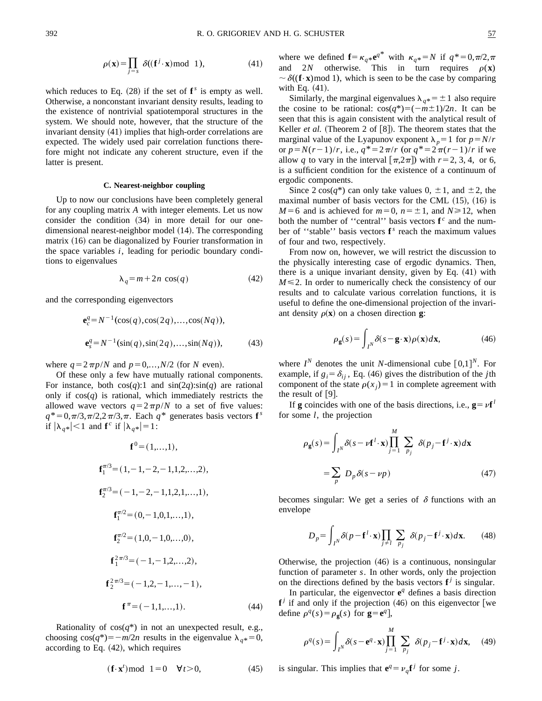$$
\rho(\mathbf{x}) = \prod_{j=s} \delta((\mathbf{f}^j \cdot \mathbf{x}) \bmod 1),\tag{41}
$$

which reduces to Eq.  $(28)$  if the set of  $f<sup>s</sup>$  is empty as well. Otherwise, a nonconstant invariant density results, leading to the existence of nontrivial spatiotemporal structures in the system. We should note, however, that the structure of the invariant density  $(41)$  implies that high-order correlations are expected. The widely used pair correlation functions therefore might not indicate any coherent structure, even if the latter is present.

#### **C. Nearest-neighbor coupling**

Up to now our conclusions have been completely general for any coupling matrix *A* with integer elements. Let us now consider the condition  $(34)$  in more detail for our onedimensional nearest-neighbor model (14). The corresponding matrix  $(16)$  can be diagonalized by Fourier transformation in the space variables *i*, leading for periodic boundary conditions to eigenvalues

$$
\lambda_q = m + 2n \cos(q) \tag{42}
$$

and the corresponding eigenvectors

$$
\mathbf{e}_c^q = N^{-1}(\cos(q), \cos(2q), \dots, \cos(Nq)),
$$
  

$$
\mathbf{e}_s^q = N^{-1}(\sin(q), \sin(2q), \dots, \sin(Nq)),
$$
 (43)

where  $q=2\pi p/N$  and  $p=0,\ldots,N/2$  (for *N* even).

Of these only a few have mutually rational components. For instance, both  $cos(q)$ :1 and  $sin(2q)$ : $sin(q)$  are rational only if  $cos(q)$  is rational, which immediately restricts the allowed wave vectors  $q=2\pi p/N$  to a set of five values:  $q^* = 0, \pi/3, \pi/2, 2\pi/3, \pi$ . Each  $q^*$  generates basis vectors **f**<sup>*s*</sup> if  $|\lambda_{q*}| < 1$  and **f**<sup>c</sup> if  $|\lambda_{q*}| = 1$ :

$$
\mathbf{f}^{0} = (1,...,1),
$$
\n
$$
\mathbf{f}_{1}^{\pi/3} = (1, -1, -2, -1, 1, 2, ..., 2),
$$
\n
$$
\mathbf{f}_{2}^{\pi/3} = (-1, -2, -1, 1, 2, 1, ..., 1),
$$
\n
$$
\mathbf{f}_{1}^{\pi/2} = (0, -1, 0, 1, ..., 1),
$$
\n
$$
\mathbf{f}_{2}^{\pi/2} = (1, 0, -1, 0, ..., 0),
$$
\n
$$
\mathbf{f}_{1}^{2\pi/3} = (-1, -1, 2, ..., 2),
$$
\n
$$
\mathbf{f}_{2}^{2\pi/3} = (-1, 2, -1, ..., -1),
$$
\n
$$
\mathbf{f}_{1}^{\pi} = (-1, 1, ..., 1).
$$
\n(44)

Rationality of  $cos(q^*)$  in not an unexpected result, e.g., choosing  $cos(q^*) = -m/2n$  results in the eigenvalue  $\lambda_q^* = 0$ , according to Eq.  $(42)$ , which requires

$$
(\mathbf{f} \cdot \mathbf{x}^t) \bmod 1 = 0 \quad \forall t > 0,
$$
 (45)

where we defined  $\mathbf{f} = \kappa_q \cdot \mathbf{e}^{q^*}$  with  $\kappa_q \cdot N$  if  $q^* = 0, \pi/2, \pi$ and 2*N* otherwise. This in turn requires  $\rho(\mathbf{x})$  $\sim \delta((\mathbf{f} \cdot \mathbf{x}) \mod 1)$ , which is seen to be the case by comparing with Eq.  $(41)$ .

Similarly, the marginal eigenvalues  $\lambda_{q*} = \pm 1$  also require the cosine to be rational:  $cos(q^*) = (-m \pm 1)/2n$ . It can be seen that this is again consistent with the analytical result of Keller *et al.* (Theorem 2 of  $[8]$ ). The theorem states that the marginal value of the Lyapunov exponent  $\lambda_p = 1$  for  $p = N/r$ or  $p=N(r-1)/r$ , i.e.,  $q^*=2\pi/r$  (or  $q^*=2\pi(r-1)/r$  if we allow *q* to vary in the interval  $[\pi,2\pi]$  with  $r=2, 3, 4$ , or 6, is a sufficient condition for the existence of a continuum of ergodic components.

Since  $2 \cos(q^*)$  can only take values  $0, \pm 1$ , and  $\pm 2$ , the maximal number of basis vectors for the CML  $(15)$ ,  $(16)$  is  $M=6$  and is achieved for  $m=0$ ,  $n=\pm 1$ , and  $N \ge 12$ , when both the number of "central" basis vectors  $f^c$  and the number of "stable" basis vectors  $f<sup>s</sup>$  reach the maximum values of four and two, respectively.

From now on, however, we will restrict the discussion to the physically interesting case of ergodic dynamics. Then, there is a unique invariant density, given by Eq.  $(41)$  with  $M \leq 2$ . In order to numerically check the consistency of our results and to calculate various correlation functions, it is useful to define the one-dimensional projection of the invariant density  $\rho(\mathbf{x})$  on a chosen direction **g**:

$$
\rho_{\mathbf{g}}(s) = \int_{I^N} \delta(s - \mathbf{g} \cdot \mathbf{x}) \rho(\mathbf{x}) d\mathbf{x},\tag{46}
$$

where  $I^N$  denotes the unit *N*-dimensional cube  $[0,1]^N$ . For example, if  $g_i = \delta_{ij}$ , Eq. (46) gives the distribution of the *j*th component of the state  $\rho(x_j) = 1$  in complete agreement with the result of  $[9]$ .

If **g** coincides with one of the basis directions, i.e.,  $\mathbf{g} = v\mathbf{f}^l$ for some *l*, the projection

$$
\rho_{\mathbf{g}}(s) = \int_{I^N} \delta(s - \nu \mathbf{f}^l \cdot \mathbf{x}) \prod_{j=1}^M \sum_{p_j} \delta(p_j - \mathbf{f}^j \cdot \mathbf{x}) d\mathbf{x}
$$

$$
= \sum_p D_p \delta(s - \nu p) \tag{47}
$$

becomes singular: We get a series of  $\delta$  functions with an envelope

$$
D_p = \int_{I^N} \delta(p - \mathbf{f}^l \cdot \mathbf{x}) \prod_{j \neq l} \sum_{p_j} \delta(p_j - \mathbf{f}^j \cdot \mathbf{x}) d\mathbf{x}.
$$
 (48)

Otherwise, the projection  $(46)$  is a continuous, nonsingular function of parameter *s*. In other words, only the projection on the directions defined by the basis vectors  $f^j$  is singular.

In particular, the eigenvector  $e^q$  defines a basis direction  $f^j$  if and only if the projection (46) on this eigenvector [we define  $\rho^q(s) = \rho_g(s)$  for  $g = e^q$ ,

$$
\rho^{q}(s) = \int_{I^{N}} \delta(s - \mathbf{e}^{q} \cdot \mathbf{x}) \prod_{j=1}^{M} \sum_{p_{j}} \delta(p_{j} - \mathbf{f}^{j} \cdot \mathbf{x}) d\mathbf{x}, \quad (49)
$$

is singular. This implies that  $e^q = v_q f^j$  for some *j*.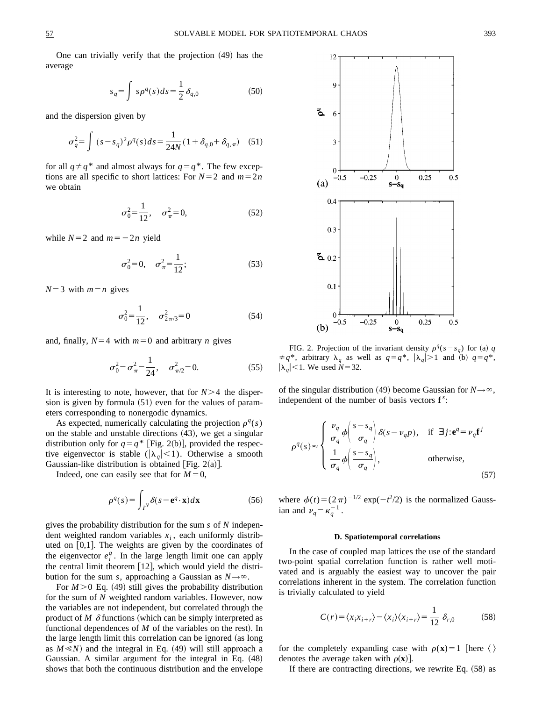One can trivially verify that the projection  $(49)$  has the average

$$
s_q = \int s \rho^q(s) ds = \frac{1}{2} \delta_{q,0}
$$
 (50)

and the dispersion given by

$$
\sigma_q^2 = \int (s - s_q)^2 \rho^q(s) ds = \frac{1}{24N} (1 + \delta_{q,0} + \delta_{q,\pi})
$$
 (51)

for all  $q \neq q^*$  and almost always for  $q = q^*$ . The few exceptions are all specific to short lattices: For  $N=2$  and  $m=2n$ we obtain

$$
\sigma_0^2 = \frac{1}{12}, \quad \sigma_\pi^2 = 0,\tag{52}
$$

while  $N=2$  and  $m=-2n$  yield

$$
\sigma_0^2 = 0, \quad \sigma_\pi^2 = \frac{1}{12};\tag{53}
$$

 $N=3$  with  $m=n$  gives

$$
\sigma_0^2 = \frac{1}{12}, \quad \sigma_{2\pi/3}^2 = 0 \tag{54}
$$

and, finally,  $N=4$  with  $m=0$  and arbitrary *n* gives

$$
\sigma_0^2 = \sigma_\pi^2 = \frac{1}{24}, \quad \sigma_{\pi/2}^2 = 0. \tag{55}
$$

It is interesting to note, however, that for  $N>4$  the dispersion is given by formula  $(51)$  even for the values of parameters corresponding to nonergodic dynamics.

As expected, numerically calculating the projection  $\rho^{q}(s)$ on the stable and unstable directions  $(43)$ , we get a singular distribution only for  $q = q^*$  [Fig. 2(b)], provided the respective eigenvector is stable ( $|\lambda_q|$ <1). Otherwise a smooth Gaussian-like distribution is obtained [Fig.  $2(a)$ ].

Indeed, one can easily see that for  $M=0$ ,

$$
\rho^{q}(s) = \int_{I^{N}} \delta(s - \mathbf{e}^{q} \cdot \mathbf{x}) d\mathbf{x}
$$
 (56)

gives the probability distribution for the sum *s* of *N* independent weighted random variables  $x_i$ , each uniformly distributed on  $[0,1]$ . The weights are given by the coordinates of the eigenvector  $e_i^q$ . In the large length limit one can apply the central limit theorem  $[12]$ , which would yield the distribution for the sum *s*, approaching a Gaussian as  $N \rightarrow \infty$ .

For  $M > 0$  Eq. (49) still gives the probability distribution for the sum of *N* weighted random variables. However, now the variables are not independent, but correlated through the product of  $M$   $\delta$  functions (which can be simply interpreted as functional dependences of  $M$  of the variables on the rest). In the large length limit this correlation can be ignored (as long as  $M \ll N$  and the integral in Eq. (49) will still approach a Gaussian. A similar argument for the integral in Eq.  $(48)$ shows that both the continuous distribution and the envelope



FIG. 2. Projection of the invariant density  $\rho^{q}(s-s_{q})$  for (a) *q*  $\neq q^*$ , arbitrary  $\lambda_q$  as well as  $q = q^*$ ,  $|\lambda_q| > 1$  and (b)  $q = q^*$ ,  $|\lambda_q|$  < 1. We used *N* = 32.

of the singular distribution (49) become Gaussian for  $N \rightarrow \infty$ , independent of the number of basis vectors  $f^s$ :

$$
\rho^{q}(s) \approx \begin{cases} \frac{\nu_{q}}{\sigma_{q}} \phi \left( \frac{s - s_{q}}{\sigma_{q}} \right) \delta(s - \nu_{q} p), & \text{if } \exists j : e^{q} = \nu_{q} \mathbf{f}^{j} \\ \frac{1}{\sigma_{q}} \phi \left( \frac{s - s_{q}}{\sigma_{q}} \right), & \text{otherwise,} \end{cases}
$$
\n
$$
(57)
$$

where  $\phi(t) = (2\pi)^{-1/2} \exp(-t^2/2)$  is the normalized Gaussian and  $\nu_q = \kappa_q^{-1}$ .

#### **D. Spatiotemporal correlations**

In the case of coupled map lattices the use of the standard two-point spatial correlation function is rather well motivated and is arguably the easiest way to uncover the pair correlations inherent in the system. The correlation function is trivially calculated to yield

$$
C(r) = \langle x_i x_{i+r} \rangle - \langle x_i \rangle \langle x_{i+r} \rangle = \frac{1}{12} \delta_{r,0}
$$
 (58)

for the completely expanding case with  $\rho(\mathbf{x})=1$  [here  $\langle \rangle$ denotes the average taken with  $\rho(\mathbf{x})$ .

If there are contracting directions, we rewrite Eq.  $(58)$  as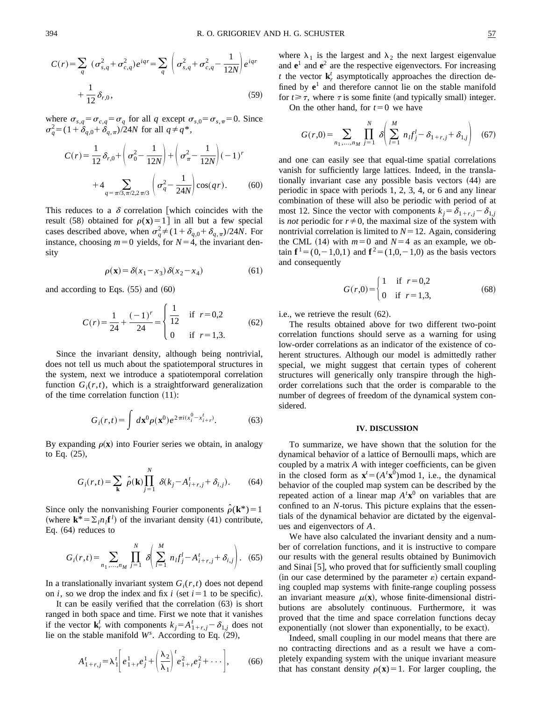$$
C(r) = \sum_{q} (\sigma_{s,q}^{2} + \sigma_{c,q}^{2}) e^{iqr} = \sum_{q} \left( \sigma_{s,q}^{2} + \sigma_{c,q}^{2} - \frac{1}{12N} \right) e^{iqr}
$$

$$
+ \frac{1}{12} \delta_{r,0}, \qquad (59)
$$

where  $\sigma_{s,q} = \sigma_{c,q} = \sigma_q$  for all *q* except  $\sigma_{s,0} = \sigma_{s,\pi} = 0$ . Since  $\sigma_q^2 = (1 + \delta_{q,0} + \delta_{q,\pi})/24N$  for all  $q \neq q^*$ ,

$$
C(r) = \frac{1}{12} \delta_{r,0} + \left(\sigma_0^2 - \frac{1}{12N}\right) + \left(\sigma_\pi^2 - \frac{1}{12N}\right)(-1)^r
$$
  
+4
$$
\sum_{q = \pi/3, \pi/2, 2\pi/3} \left(\sigma_q^2 - \frac{1}{24N}\right) \cos(qr).
$$
 (60)

This reduces to a  $\delta$  correlation which coincides with the result (58) obtained for  $\rho(x) = 1$  in all but a few special cases described above, when  $\sigma_q^2 \neq (1 + \delta_{q,0} + \delta_{q,\pi})/24N$ . For instance, choosing  $m=0$  yields, for  $N=4$ , the invariant density

$$
\rho(\mathbf{x}) = \delta(x_1 - x_3)\,\delta(x_2 - x_4) \tag{61}
$$

and according to Eqs.  $(55)$  and  $(60)$ 

$$
C(r) = \frac{1}{24} + \frac{(-1)^r}{24} = \begin{cases} \frac{1}{12} & \text{if } r = 0,2\\ 0 & \text{if } r = 1,3. \end{cases}
$$
 (62)

Since the invariant density, although being nontrivial, does not tell us much about the spatiotemporal structures in the system, next we introduce a spatiotemporal correlation function  $G_i(r,t)$ , which is a straightforward generalization of the time correlation function  $(11)$ :

$$
G_i(r,t) = \int d\mathbf{x}^0 \rho(\mathbf{x}^0) e^{2\pi i (x_i^0 - x_{i+r}^t)}.
$$
 (63)

By expanding  $\rho(x)$  into Fourier series we obtain, in analogy to Eq.  $(25)$ ,

$$
G_i(r,t) = \sum_{\mathbf{k}} \hat{\rho}(\mathbf{k}) \prod_{j=1}^N \delta(k_j - A_{i+r,j}^t + \delta_{i,j}).
$$
 (64)

Since only the nonvanishing Fourier components  $\hat{\rho}(\mathbf{k}^*)=1$ (where  $\mathbf{k}^* = \sum_l n_l \mathbf{f}^l$ ) of the invariant density (41) contribute, Eq.  $(64)$  reduces to

$$
G_i(r,t) = \sum_{n_1,\dots,n_M} \prod_{j=1}^N \delta\left(\sum_{l=1}^M n_l f_j^l - A_{i+r,j}^t + \delta_{i,j}\right). \tag{65}
$$

In a translationally invariant system  $G_i(r,t)$  does not depend on *i*, so we drop the index and fix *i* (set  $i=1$  to be specific).

It can be easily verified that the correlation  $(63)$  is short ranged in both space and time. First we note that it vanishes if the vector  $\mathbf{k}_r^t$  with components  $k_j = A_{1+r,j}^t - \delta_{1,j}$  does not lie on the stable manifold  $W^s$ . According to Eq. (29),

$$
A'_{1+r,j} = \lambda'_1 \left[ e_{1+r}^1 e_j^1 + \left( \frac{\lambda_2}{\lambda_1} \right)^t e_{1+r}^2 e_j^2 + \cdots \right],
$$
 (66)

where  $\lambda_1$  is the largest and  $\lambda_2$  the next largest eigenvalue and  $e^1$  and  $e^2$  are the respective eigenvectors. For increasing *t* the vector  $\mathbf{k}_r^t$  asymptotically approaches the direction defined by  $e^1$  and therefore cannot lie on the stable manifold for  $t \geq \tau$ , where  $\tau$  is some finite (and typically small) integer.

On the other hand, for  $t=0$  we have

$$
G(r,0) = \sum_{n_1,\dots,n_M} \prod_{j=1}^N \delta \left( \sum_{l=1}^M n_l f_j^l - \delta_{1+r,j} + \delta_{1,j} \right) \tag{67}
$$

and one can easily see that equal-time spatial correlations vanish for sufficiently large lattices. Indeed, in the translationally invariant case any possible basis vectors (44) are periodic in space with periods 1, 2, 3, 4, or 6 and any linear combination of these will also be periodic with period of at most 12. Since the vector with components  $k_i = \delta_{1+r, i} - \delta_{1,i}$ is *not* periodic for  $r \neq 0$ , the maximal size of the system with nontrivial correlation is limited to  $N=12$ . Again, considering the CML (14) with  $m=0$  and  $N=4$  as an example, we obtain  $f' = (0,-1,0,1)$  and  $f' = (1,0,-1,0)$  as the basis vectors and consequently

$$
G(r,0) = \begin{cases} 1 & \text{if } r = 0,2 \\ 0 & \text{if } r = 1,3, \end{cases}
$$
 (68)

i.e., we retrieve the result  $(62)$ .

The results obtained above for two different two-point correlation functions should serve as a warning for using low-order correlations as an indicator of the existence of coherent structures. Although our model is admittedly rather special, we might suggest that certain types of coherent structures will generically only transpire through the highorder correlations such that the order is comparable to the number of degrees of freedom of the dynamical system considered.

# **IV. DISCUSSION**

To summarize, we have shown that the solution for the dynamical behavior of a lattice of Bernoulli maps, which are coupled by a matrix *A* with integer coefficients, can be given in the closed form as  $\mathbf{x}^t = (A^t \mathbf{x}^0) \text{ mod } 1$ , i.e., the dynamical behavior of the coupled map system can be described by the repeated action of a linear map  $A<sup>t</sup>**x**<sup>0</sup>$  on variables that are confined to an *N*-torus. This picture explains that the essentials of the dynamical behavior are dictated by the eigenvalues and eigenvectors of *A*.

We have also calculated the invariant density and a number of correlation functions, and it is instructive to compare our results with the general results obtained by Bunimovich and Sinai  $|5|$ , who proved that for sufficiently small coupling  $(in our case determined by the parameter  $\varepsilon$ ) certain expand$ ing coupled map systems with finite-range coupling possess an invariant measure  $\mu(\mathbf{x})$ , whose finite-dimensional distributions are absolutely continuous. Furthermore, it was proved that the time and space correlation functions decay exponentially (not slower than exponentially, to be exact).

Indeed, small coupling in our model means that there are no contracting directions and as a result we have a completely expanding system with the unique invariant measure that has constant density  $\rho(\mathbf{x})=1$ . For larger coupling, the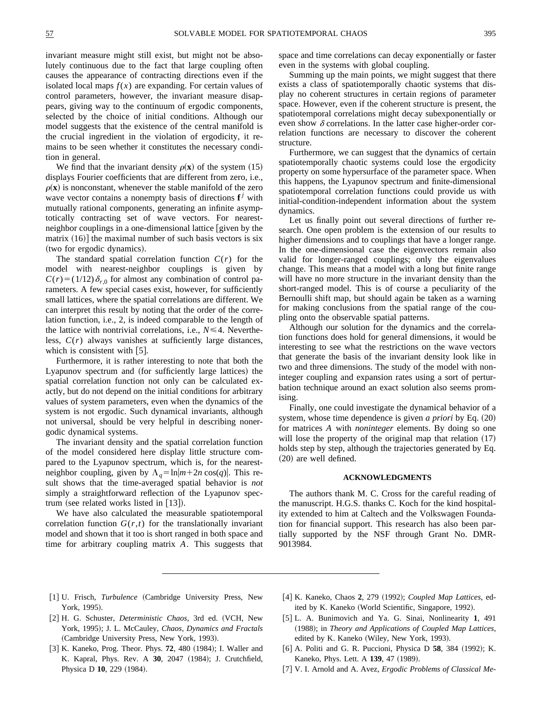invariant measure might still exist, but might not be absolutely continuous due to the fact that large coupling often causes the appearance of contracting directions even if the isolated local maps  $f(x)$  are expanding. For certain values of control parameters, however, the invariant measure disappears, giving way to the continuum of ergodic components, selected by the choice of initial conditions. Although our model suggests that the existence of the central manifold is the crucial ingredient in the violation of ergodicity, it remains to be seen whether it constitutes the necessary condition in general.

We find that the invariant density  $\rho(x)$  of the system (15) displays Fourier coefficients that are different from zero, i.e.,  $\rho(\mathbf{x})$  is nonconstant, whenever the stable manifold of the zero wave vector contains a nonempty basis of directions  $f^j$  with mutually rational components, generating an infinite asymptotically contracting set of wave vectors. For nearestneighbor couplings in a one-dimensional lattice  $\boxed{\text{given by the}}$ matrix  $(16)$  the maximal number of such basis vectors is six (two for ergodic dynamics).

The standard spatial correlation function  $C(r)$  for the model with nearest-neighbor couplings is given by  $C(r) = (1/12) \delta_{r,0}$  for almost any combination of control parameters. A few special cases exist, however, for sufficiently small lattices, where the spatial correlations are different. We can interpret this result by noting that the order of the correlation function, i.e., 2, is indeed comparable to the length of the lattice with nontrivial correlations, i.e.,  $N \leq 4$ . Nevertheless, *C*(*r*) always vanishes at sufficiently large distances, which is consistent with  $[5]$ .

Furthermore, it is rather interesting to note that both the Lyapunov spectrum and (for sufficiently large lattices) the spatial correlation function not only can be calculated exactly, but do not depend on the initial conditions for arbitrary values of system parameters, even when the dynamics of the system is not ergodic. Such dynamical invariants, although not universal, should be very helpful in describing nonergodic dynamical systems.

The invariant density and the spatial correlation function of the model considered here display little structure compared to the Lyapunov spectrum, which is, for the nearestneighbor coupling, given by  $\Lambda_q = \ln |m+2n \cos(q)|$ . This result shows that the time-averaged spatial behavior is *not* simply a straightforward reflection of the Lyapunov spectrum (see related works listed in  $[13]$ ).

We have also calculated the measurable spatiotemporal correlation function  $G(r,t)$  for the translationally invariant model and shown that it too is short ranged in both space and time for arbitrary coupling matrix *A*. This suggests that space and time correlations can decay exponentially or faster even in the systems with global coupling.

Summing up the main points, we might suggest that there exists a class of spatiotemporally chaotic systems that display no coherent structures in certain regions of parameter space. However, even if the coherent structure is present, the spatiotemporal correlations might decay subexponentially or even show  $\delta$  correlations. In the latter case higher-order correlation functions are necessary to discover the coherent structure.

Furthermore, we can suggest that the dynamics of certain spatiotemporally chaotic systems could lose the ergodicity property on some hypersurface of the parameter space. When this happens, the Lyapunov spectrum and finite-dimensional spatiotemporal correlation functions could provide us with initial-condition-independent information about the system dynamics.

Let us finally point out several directions of further research. One open problem is the extension of our results to higher dimensions and to couplings that have a longer range. In the one-dimensional case the eigenvectors remain also valid for longer-ranged couplings; only the eigenvalues change. This means that a model with a long but finite range will have no more structure in the invariant density than the short-ranged model. This is of course a peculiarity of the Bernoulli shift map, but should again be taken as a warning for making conclusions from the spatial range of the coupling onto the observable spatial patterns.

Although our solution for the dynamics and the correlation functions does hold for general dimensions, it would be interesting to see what the restrictions on the wave vectors that generate the basis of the invariant density look like in two and three dimensions. The study of the model with noninteger coupling and expansion rates using a sort of perturbation technique around an exact solution also seems promising.

Finally, one could investigate the dynamical behavior of a system, whose time dependence is given *a priori* by Eq.  $(20)$ for matrices *A* with *noninteger* elements. By doing so one will lose the property of the original map that relation  $(17)$ holds step by step, although the trajectories generated by Eq.  $(20)$  are well defined.

# **ACKNOWLEDGMENTS**

The authors thank M. C. Cross for the careful reading of the manuscript. H.G.S. thanks C. Koch for the kind hospitality extended to him at Caltech and the Volkswagen Foundation for financial support. This research has also been partially supported by the NSF through Grant No. DMR-9013984.

- [1] U. Frisch, *Turbulence* (Cambridge University Press, New York, 1995).
- [2] H. G. Schuster, *Deterministic Chaos*, 3rd ed. (VCH, New York, 1995); J. L. McCauley, *Chaos, Dynamics and Fractals* (Cambridge University Press, New York, 1993).
- [3] K. Kaneko, Prog. Theor. Phys. **72**, 480 (1984); I. Waller and K. Kapral, Phys. Rev. A **30**, 2047 (1984); J. Crutchfield, Physica D 10, 229 (1984).
- [4] K. Kaneko, Chaos 2, 279 (1992); *Coupled Map Lattices*, edited by K. Kaneko (World Scientific, Singapore, 1992).
- [5] L. A. Bunimovich and Ya. G. Sinai, Nonlinearity 1, 491 (1988); in *Theory and Applications of Coupled Map Lattices*, edited by K. Kaneko (Wiley, New York, 1993).
- [6] A. Politi and G. R. Puccioni, Physica D **58**, 384 (1992); K. Kaneko, Phys. Lett. A 139, 47 (1989).
- [7] V. I. Arnold and A. Avez, *Ergodic Problems of Classical Me-*